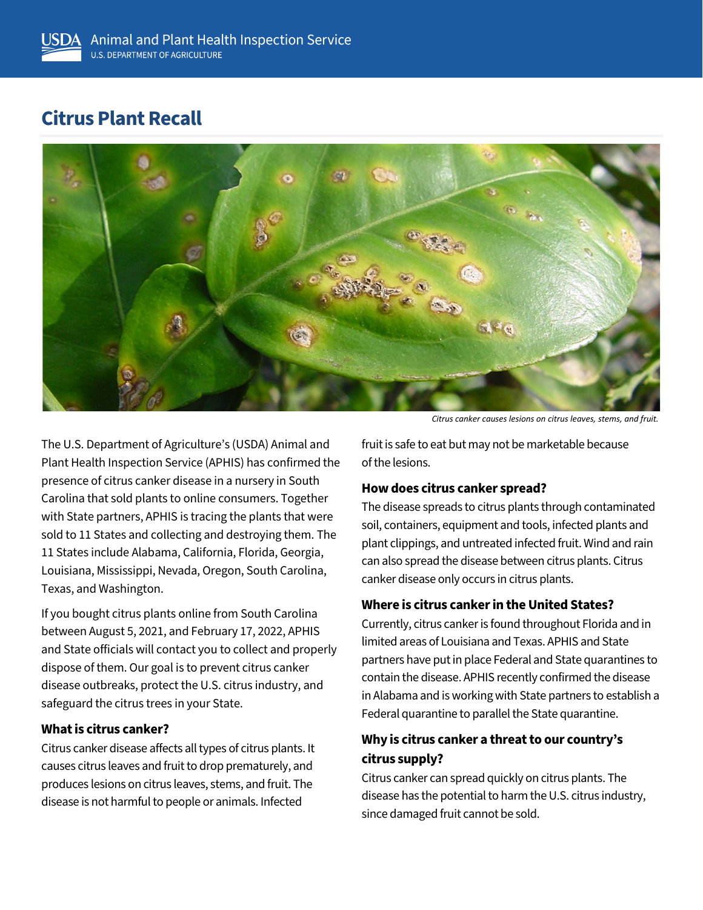# **Citrus Plant Recall**



The U.S. Department of Agriculture's (USDA) Animal and Plant Health Inspection Service (APHIS) has confirmed the presence of citrus canker disease in a nursery in South Carolina that sold plants to online consumers. Together with State partners, APHIS is tracing the plants that were sold to 11 States and collecting and destroying them. The 11 States include Alabama, California, Florida, Georgia, Louisiana, Mississippi, Nevada, Oregon, South Carolina, Texas, and Washington.

If you bought citrus plants online from South Carolina between August 5, 2021, and February 17, 2022, APHIS and State officials will contact you to collect and properly dispose of them. Our goal is to prevent citrus canker disease outbreaks, protect the U.S. citrus industry, and safeguard the citrus trees in your State.

### **What is citrus canker?**

Citrus canker disease affects all types of citrus plants. It causes citrus leaves and fruit to drop prematurely, and produces lesions on citrus leaves, stems, and fruit. The disease is not harmful to people or animals. Infected

*Citrus canker causes lesions on citrus leaves, stems, and fruit.*

fruit is safe to eat but may not be marketable because of the lesions.

#### **How does citrus canker spread?**

The disease spreads to citrus plants through contaminated soil, containers, equipment and tools, infected plants and plant clippings, and untreated infected fruit. Wind and rain can also spread the disease between citrus plants. Citrus canker disease only occurs in citrus plants.

#### **Where is citrus canker in the United States?**

Currently, citrus canker is found throughout Florida and in limited areas of Louisiana and Texas. APHIS and State partners have put in place Federal and State quarantines to contain the disease. APHIS recently confirmed the disease in Alabama and is working with State partners to establish a Federal quarantine to parallel the State quarantine.

## **Why is citrus canker a threat to our country's citrus supply?**

Citrus canker can spread quickly on citrus plants. The disease has the potential to harm the U.S. citrus industry, since damaged fruit cannot be sold.